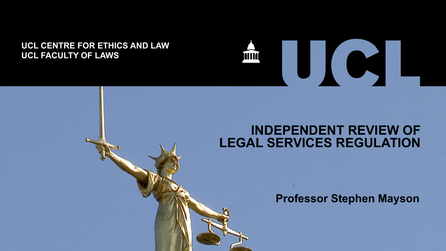#### **UCL CENTRE FOR ETHICS AND LAW UCL FACULTY OF LAWS**



#### **INDEPENDENT REVIEW OF LEGAL SERVICES REGULATION**

**Professor Stephen Mayson**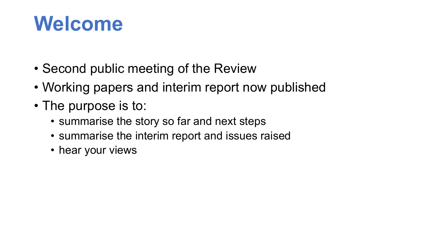#### **Welcome**

- Second public meeting of the Review
- Working papers and interim report now published
- The purpose is to:
	- summarise the story so far and next steps
	- summarise the interim report and issues raised
	- hear your views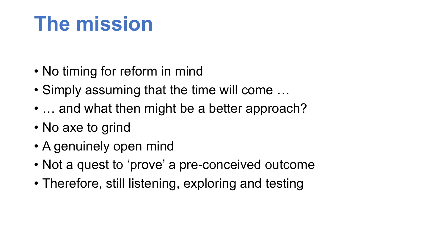### **The mission**

- No timing for reform in mind
- Simply assuming that the time will come …
- ... and what then might be a better approach?
- No axe to grind
- A genuinely open mind
- Not a quest to 'prove' a pre-conceived outcome
- Therefore, still listening, exploring and testing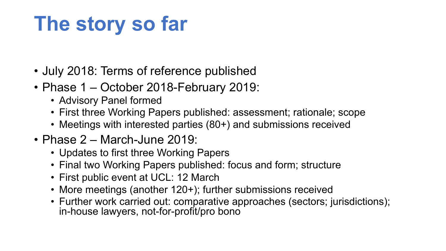## **The story so far**

- July 2018: Terms of reference published
- Phase 1 October 2018-February 2019:
	- Advisory Panel formed
	- First three Working Papers published: assessment; rationale; scope
	- Meetings with interested parties (80+) and submissions received
- Phase 2 March-June 2019:
	- Updates to first three Working Papers
	- Final two Working Papers published: focus and form; structure
	- First public event at UCL: 12 March
	- More meetings (another 120+); further submissions received
	- Further work carried out: comparative approaches (sectors; jurisdictions); in-house lawyers, not-for-profit/pro bono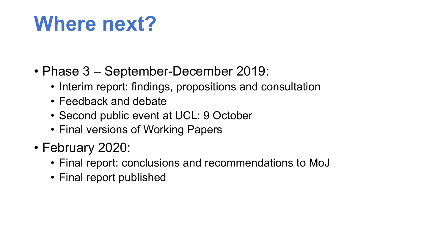#### **Where next?**

- Phase 3 September-December 2019:
	- Interim report: findings, propositions and consultation
	- Feedback and debate
	- Second public event at UCL: 9 October
	- Final versions of Working Papers
- February 2020:
	- Final report: conclusions and recommendations to MoJ
	- Final report published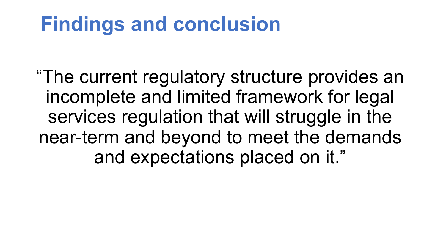#### **Findings and conclusion**

"The current regulatory structure provides an incomplete and limited framework for legal services regulation that will struggle in the near-term and beyond to meet the demands and expectations placed on it."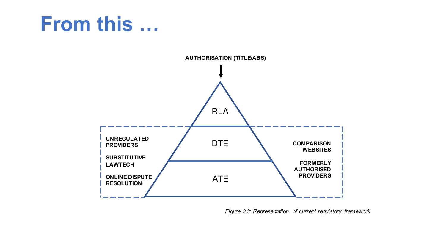#### **From this …**



*Figure 3.3: Representation of current regulatory framework*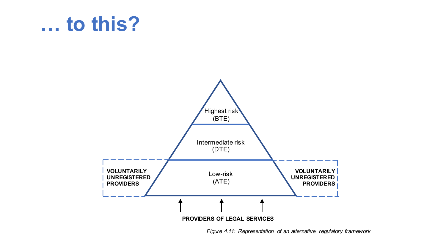#### **… to this?**



*Figure 4.11: Representation of an alternative regulatory framework*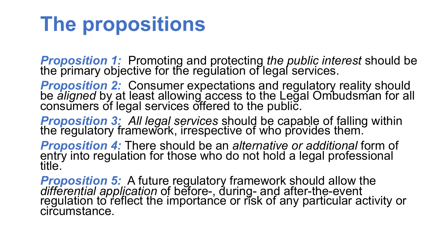### **The propositions**

*Proposition 1:* Promoting and protecting *the public interest* should be the primary objective for the regulation of legal services.

*Proposition 2:* Consumer expectations and regulatory reality should be *aligned* by at least allowing access to the Legal Ombudsman for all consumers of legal services offered to the public.

**Proposition 3:** All legal services should be capable of falling within the regulatory framework, irrespective of who provides them.

**Proposition 4:** There should be an *alternative or additional* form of entry into regulation for those who do not hold a legal professional title.

**Proposition 5:** A future regulatory framework should allow the *differential application* of before-, during- and after-the-event regulation to reflect the importance or risk of any particular activity or circumstance.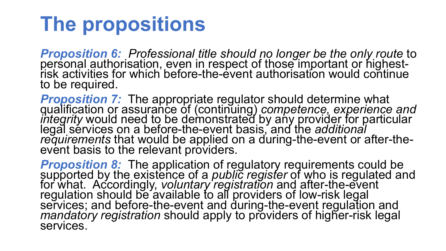### **The propositions**

**Proposition 6:** Professional title should no longer be the only route to personal authorisation, even in respect of those important or highest-<br>risk activities for which before-the-event authorisation would continue to be required.

**Proposition 7:** The appropriate regulator should determine what<br>qualification or assurance of (continuing) *competence, experience and*<br>*integrity* would need to be demonstrated by any provider for particular<br>legal servic *requirements* that would be applied on a during-the-event or after-the-<br>event basis to the relevant providers.

**Proposition 8:** The application of regulatory requirements could be<br>supported by the existence of a *public register* of who is regulated and<br>for what. Accordingly, *voluntary registration* and after-the-event regulation should be available to all providers of low-risk legal<br>services; and before-the-event and during-the-event regulation and<br>*mandatory registration* should apply to providers of higher-risk legal<br>services.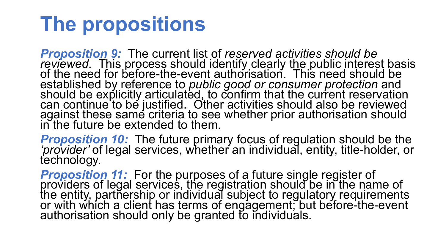### **The propositions**

*Proposition 9:* The current list of *reserved activities should be reviewed*. This process should identify clearly the public interest basis of the need for before-the-event authorisation. This need should be established by reference to *public good or consumer protection* and should be explicitly articulated, to confirm that the current reservation can continue to be justified. Other activities should also be reviewed against these same criteria to see whether prior authorisation should in the future be extended to them.

*Proposition 10:* The future primary focus of regulation should be the *'provider'* of legal services, whether an individual, entity, title-holder, or technology.

**Proposition 11:** For the purposes of a future single register of providers of legal services, the registration should be in the name of the entity, partnership or individual subject to regulatory requirements or with which a client has terms of engagement; but before-the-event authorisation should only be granted to individuals.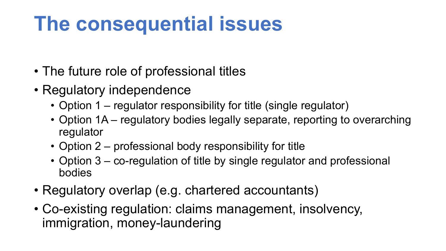## **The consequential issues**

- The future role of professional titles
- Regulatory independence
	- Option 1 regulator responsibility for title (single regulator)
	- Option 1A regulatory bodies legally separate, reporting to overarching regulator
	- Option 2 professional body responsibility for title
	- Option 3 co-regulation of title by single regulator and professional bodies
- Regulatory overlap (e.g. chartered accountants)
- Co-existing regulation: claims management, insolvency, immigration, money-laundering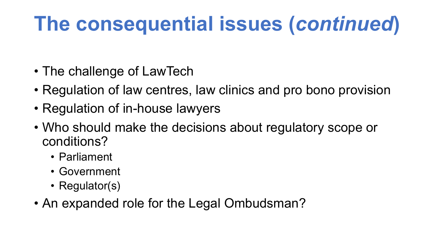# **The consequential issues (***continued***)**

- The challenge of LawTech
- Regulation of law centres, law clinics and pro bono provision
- Regulation of in-house lawyers
- Who should make the decisions about regulatory scope or conditions?
	- Parliament
	- Government
	- Regulator(s)
- An expanded role for the Legal Ombudsman?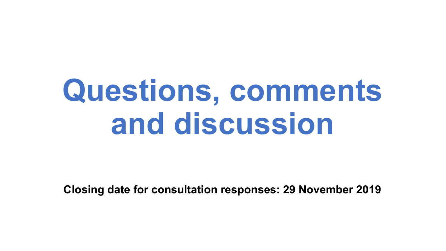# **Questions, comments and discussion**

**Closing date for consultation responses: 29 November 2019**